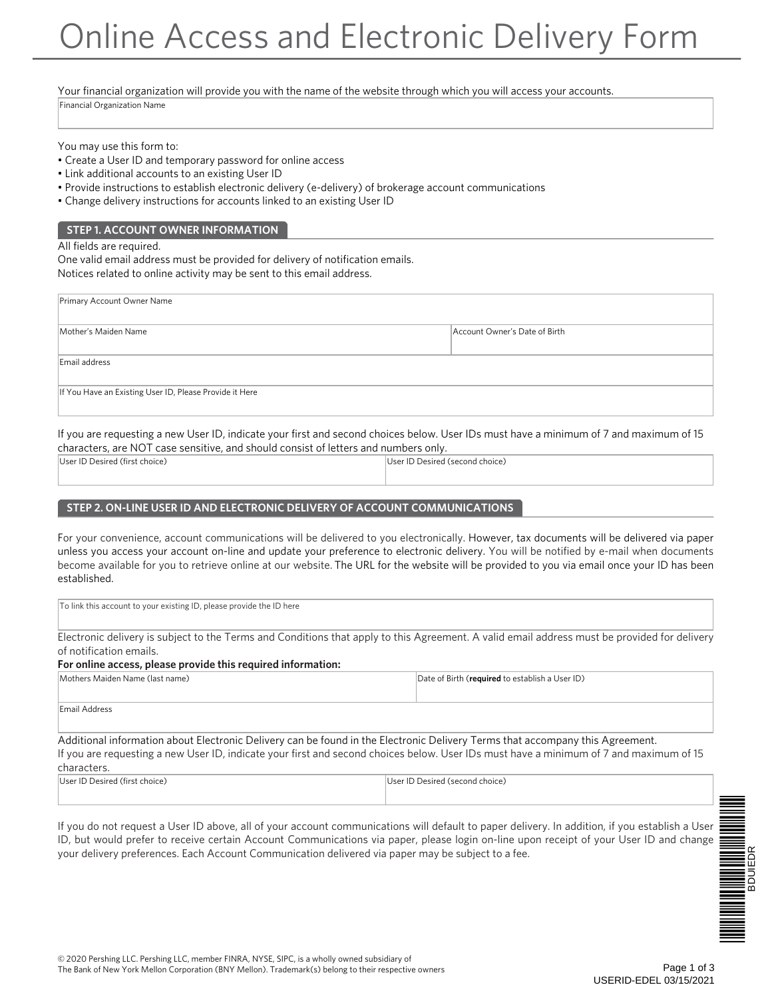Your financial organization will provide you with the name of the website through which you will access your accounts.

Financial Organization Name

### You may use this form to:

- Create a User ID and temporary password for online access
- Link additional accounts to an existing User ID
- Provide instructions to establish electronic delivery (e-delivery) of brokerage account communications
- Change delivery instructions for accounts linked to an existing User ID

### **STEP 1. ACCOUNT OWNER INFORMATION**

#### All fields are required.

One valid email address must be provided for delivery of notification emails. Notices related to online activity may be sent to this email address.

| Primary Account Owner Name                              |                               |
|---------------------------------------------------------|-------------------------------|
| Mother's Maiden Name                                    | Account Owner's Date of Birth |
| Email address                                           |                               |
| If You Have an Existing User ID, Please Provide it Here |                               |

If you are requesting a new User ID, indicate your first and second choices below. User IDs must have a minimum of 7 and maximum of 15 characters, are NOT case sensitive, and should consist of letters and numbers only.

| User ID Desired (first choice) | User ID Desired (second choice) |
|--------------------------------|---------------------------------|
|                                |                                 |

### **STEP 2. ON-LINE USER ID AND ELECTRONIC DELIVERY OF ACCOUNT COMMUNICATIONS**

For your convenience, account communications will be delivered to you electronically. However, tax documents will be delivered via paper unless you access your account on-line and update your preference to electronic delivery. You will be notified by e-mail when documents become available for you to retrieve online at our website. The URL for the website will be provided to you via email once your ID has been established.

To link this account to your existing ID, please provide the ID here

Electronic delivery is subject to the Terms and Conditions that apply to this Agreement. A valid email address must be provided for delivery of notification emails.

### **For online access, please provide this required information:**

| Mothers Maiden Name (last name) | Date of Birth (required to establish a User ID) |  |
|---------------------------------|-------------------------------------------------|--|
|                                 |                                                 |  |
| Email Address                   |                                                 |  |

Additional information about Electronic Delivery can be found in the Electronic Delivery Terms that accompany this Agreement. If you are requesting a new User ID, indicate your first and second choices below. User IDs must have a minimum of 7 and maximum of 15 characters.

| User ID Desired (first choice) | User ID Desired (second choice) |
|--------------------------------|---------------------------------|
|                                |                                 |
|                                |                                 |

If you do not request a User ID above, all of your account communications will default to paper delivery. In addition, if you establish a User ID, but would prefer to receive certain Account Communications via paper, please login on-line upon receipt of your User ID and change your delivery preferences. Each Account Communication delivered via paper may be subject to a fee.

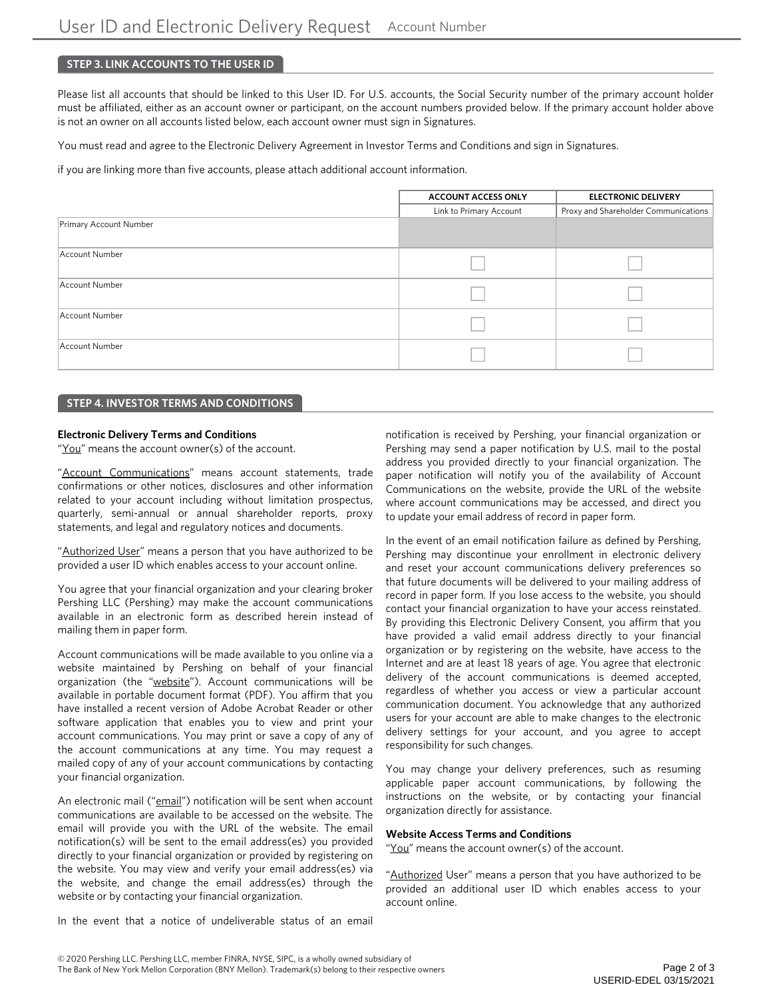# **STEP 3. LINK ACCOUNTS TO THE USER ID**

Please list all accounts that should be linked to this User ID. For U.S. accounts, the Social Security number of the primary account holder must be affiliated, either as an account owner or participant, on the account numbers provided below. If the primary account holder above is not an owner on all accounts listed below, each account owner must sign in Signatures.

You must read and agree to the Electronic Delivery Agreement in Investor Terms and Conditions and sign in Signatures.

if you are linking more than five accounts, please attach additional account information.

|                        | <b>ACCOUNT ACCESS ONLY</b> | <b>ELECTRONIC DELIVERY</b>           |
|------------------------|----------------------------|--------------------------------------|
|                        | Link to Primary Account    | Proxy and Shareholder Communications |
| Primary Account Number |                            |                                      |
| Account Number         |                            |                                      |
| Account Number         |                            |                                      |
| Account Number         |                            |                                      |
| Account Number         |                            |                                      |

## **STEP 4. INVESTOR TERMS AND CONDITIONS**

### **Electronic Delivery Terms and Conditions**

"You" means the account owner(s) of the account.

"Account Communications" means account statements, trade confirmations or other notices, disclosures and other information related to your account including without limitation prospectus, quarterly, semi-annual or annual shareholder reports, proxy statements, and legal and regulatory notices and documents.

"Authorized User" means a person that you have authorized to be provided a user ID which enables access to your account online.

You agree that your financial organization and your clearing broker Pershing LLC (Pershing) may make the account communications available in an electronic form as described herein instead of mailing them in paper form.

Account communications will be made available to you online via a website maintained by Pershing on behalf of your financial organization (the "website"). Account communications will be available in portable document format (PDF). You affirm that you have installed a recent version of Adobe Acrobat Reader or other software application that enables you to view and print your account communications. You may print or save a copy of any of the account communications at any time. You may request a mailed copy of any of your account communications by contacting your financial organization.

An electronic mail ("email") notification will be sent when account communications are available to be accessed on the website. The email will provide you with the URL of the website. The email notification(s) will be sent to the email address(es) you provided directly to your financial organization or provided by registering on the website. You may view and verify your email address(es) via the website, and change the email address(es) through the website or by contacting your financial organization.

In the event that a notice of undeliverable status of an email

notification is received by Pershing, your financial organization or Pershing may send a paper notification by U.S. mail to the postal address you provided directly to your financial organization. The paper notification will notify you of the availability of Account Communications on the website, provide the URL of the website where account communications may be accessed, and direct you to update your email address of record in paper form.

In the event of an email notification failure as defined by Pershing, Pershing may discontinue your enrollment in electronic delivery and reset your account communications delivery preferences so that future documents will be delivered to your mailing address of record in paper form. If you lose access to the website, you should contact your financial organization to have your access reinstated. By providing this Electronic Delivery Consent, you affirm that you have provided a valid email address directly to your financial organization or by registering on the website, have access to the Internet and are at least 18 years of age. You agree that electronic delivery of the account communications is deemed accepted, regardless of whether you access or view a particular account communication document. You acknowledge that any authorized users for your account are able to make changes to the electronic delivery settings for your account, and you agree to accept responsibility for such changes.

You may change your delivery preferences, such as resuming applicable paper account communications, by following the instructions on the website, or by contacting your financial organization directly for assistance.

### **Website Access Terms and Conditions**

"You" means the account owner(s) of the account.

"Authorized User" means a person that you have authorized to be provided an additional user ID which enables access to your account online.